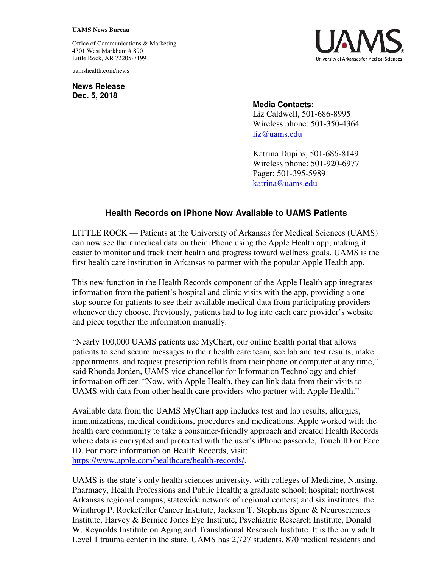## **UAMS News Bureau**

Office of Communications & Marketing 4301 West Markham # 890 Little Rock, AR 72205-7199

uamshealth.com/news

**News Release Dec. 5, 2018**



## **Media Contacts:**

Liz Caldwell, 501-686-8995 Wireless phone: 501-350-4364 liz@uams.edu

Katrina Dupins, 501-686-8149 Wireless phone: 501-920-6977 Pager: 501-395-5989 katrina@uams.edu

## **Health Records on iPhone Now Available to UAMS Patients**

LITTLE ROCK — Patients at the University of Arkansas for Medical Sciences (UAMS) can now see their medical data on their iPhone using the Apple Health app, making it easier to monitor and track their health and progress toward wellness goals. UAMS is the first health care institution in Arkansas to partner with the popular Apple Health app.

This new function in the Health Records component of the Apple Health app integrates information from the patient's hospital and clinic visits with the app, providing a onestop source for patients to see their available medical data from participating providers whenever they choose. Previously, patients had to log into each care provider's website and piece together the information manually.

"Nearly 100,000 UAMS patients use MyChart, our online health portal that allows patients to send secure messages to their health care team, see lab and test results, make appointments, and request prescription refills from their phone or computer at any time," said Rhonda Jorden, UAMS vice chancellor for Information Technology and chief information officer. "Now, with Apple Health, they can link data from their visits to UAMS with data from other health care providers who partner with Apple Health."

Available data from the UAMS MyChart app includes test and lab results, allergies, immunizations, medical conditions, procedures and medications. Apple worked with the health care community to take a consumer-friendly approach and created Health Records where data is encrypted and protected with the user's iPhone passcode, Touch ID or Face ID. For more information on Health Records, visit: https://www.apple.com/healthcare/health-records/.

UAMS is the state's only health sciences university, with colleges of Medicine, Nursing, Pharmacy, Health Professions and Public Health; a graduate school; hospital; northwest Arkansas regional campus; statewide network of regional centers; and six institutes: the Winthrop P. Rockefeller Cancer Institute, Jackson T. Stephens Spine & Neurosciences Institute, Harvey & Bernice Jones Eye Institute, Psychiatric Research Institute, Donald W. Reynolds Institute on Aging and Translational Research Institute. It is the only adult Level 1 trauma center in the state. UAMS has 2,727 students, 870 medical residents and